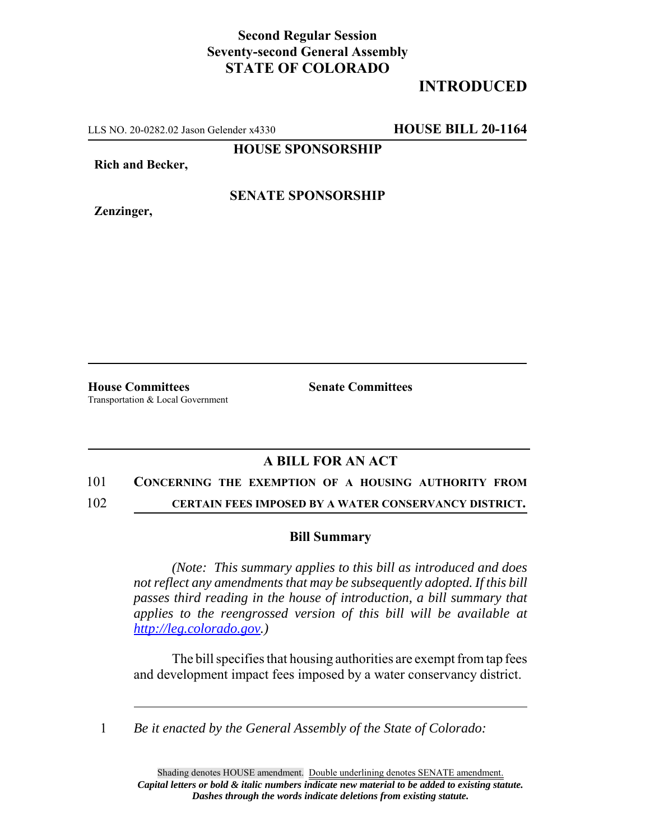## **Second Regular Session Seventy-second General Assembly STATE OF COLORADO**

# **INTRODUCED**

LLS NO. 20-0282.02 Jason Gelender x4330 **HOUSE BILL 20-1164**

**HOUSE SPONSORSHIP**

**Rich and Becker,**

**Zenzinger,**

**SENATE SPONSORSHIP**

Transportation & Local Government

**House Committees Senate Committees** 

### **A BILL FOR AN ACT**

#### 101 **CONCERNING THE EXEMPTION OF A HOUSING AUTHORITY FROM**

102 **CERTAIN FEES IMPOSED BY A WATER CONSERVANCY DISTRICT.**

#### **Bill Summary**

*(Note: This summary applies to this bill as introduced and does not reflect any amendments that may be subsequently adopted. If this bill passes third reading in the house of introduction, a bill summary that applies to the reengrossed version of this bill will be available at http://leg.colorado.gov.)*

The bill specifies that housing authorities are exempt from tap fees and development impact fees imposed by a water conservancy district.

1 *Be it enacted by the General Assembly of the State of Colorado:*